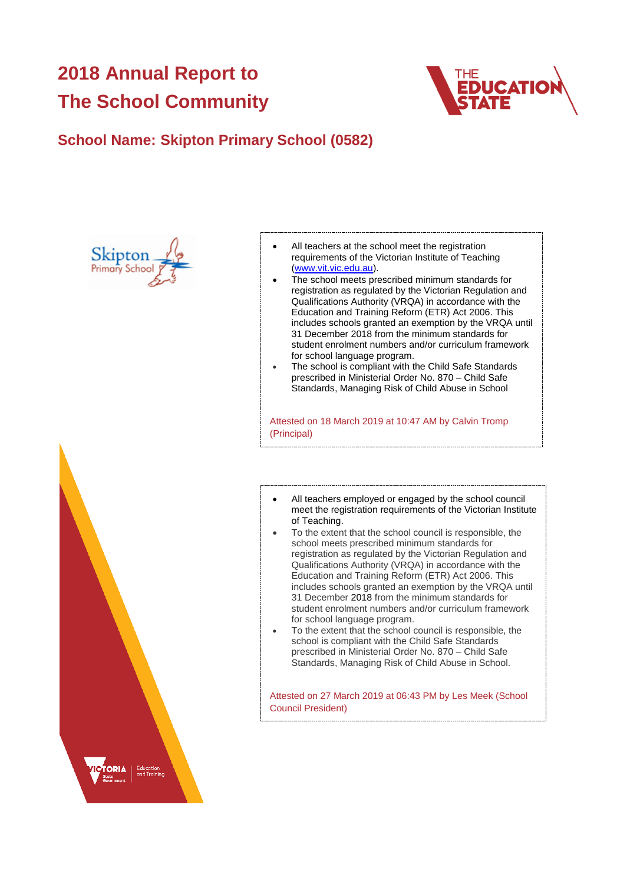# **2018 Annual Report to The School Community**



## **School Name: Skipton Primary School (0582)**





- The school meets prescribed minimum standards for registration as regulated by the Victorian Regulation and Qualifications Authority (VRQA) in accordance with the Education and Training Reform (ETR) Act 2006. This includes schools granted an exemption by the VRQA until 31 December 2018 from the minimum standards for student enrolment numbers and/or curriculum framework for school language program.
- The school is compliant with the Child Safe Standards prescribed in Ministerial Order No. 870 – Child Safe Standards, Managing Risk of Child Abuse in School

Attested on 18 March 2019 at 10:47 AM by Calvin Tromp (Principal)

- All teachers employed or engaged by the school council meet the registration requirements of the Victorian Institute of Teaching.
- To the extent that the school council is responsible, the school meets prescribed minimum standards for registration as regulated by the Victorian Regulation and Qualifications Authority (VRQA) in accordance with the Education and Training Reform (ETR) Act 2006. This includes schools granted an exemption by the VRQA until 31 December 2018 from the minimum standards for student enrolment numbers and/or curriculum framework for school language program.
- To the extent that the school council is responsible, the school is compliant with the Child Safe Standards prescribed in Ministerial Order No. 870 – Child Safe Standards, Managing Risk of Child Abuse in School.

Attested on 27 March 2019 at 06:43 PM by Les Meek (School Council President)

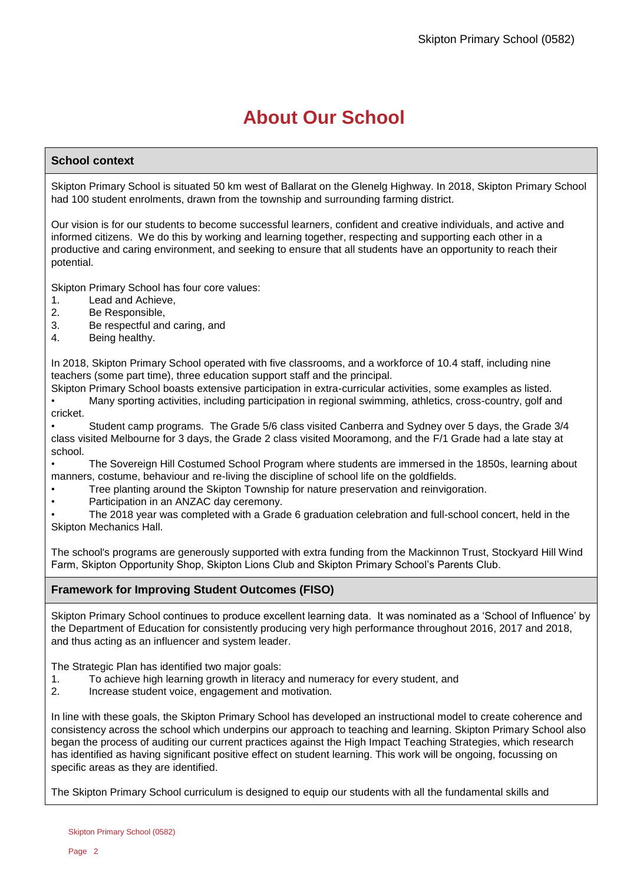# **About Our School**

### **School context**

Skipton Primary School is situated 50 km west of Ballarat on the Glenelg Highway. In 2018, Skipton Primary School had 100 student enrolments, drawn from the township and surrounding farming district.

Our vision is for our students to become successful learners, confident and creative individuals, and active and informed citizens. We do this by working and learning together, respecting and supporting each other in a productive and caring environment, and seeking to ensure that all students have an opportunity to reach their potential.

Skipton Primary School has four core values:

- 1. Lead and Achieve,
- 2. Be Responsible,
- 3. Be respectful and caring, and
- 4. Being healthy.

In 2018, Skipton Primary School operated with five classrooms, and a workforce of 10.4 staff, including nine teachers (some part time), three education support staff and the principal.

Skipton Primary School boasts extensive participation in extra-curricular activities, some examples as listed. • Many sporting activities, including participation in regional swimming, athletics, cross-country, golf and cricket.

• Student camp programs. The Grade 5/6 class visited Canberra and Sydney over 5 days, the Grade 3/4 class visited Melbourne for 3 days, the Grade 2 class visited Mooramong, and the F/1 Grade had a late stay at school.

• The Sovereign Hill Costumed School Program where students are immersed in the 1850s, learning about manners, costume, behaviour and re-living the discipline of school life on the goldfields.

- Tree planting around the Skipton Township for nature preservation and reinvigoration.
- Participation in an ANZAC day ceremony.

• The 2018 year was completed with a Grade 6 graduation celebration and full-school concert, held in the Skipton Mechanics Hall.

The school's programs are generously supported with extra funding from the Mackinnon Trust, Stockyard Hill Wind Farm, Skipton Opportunity Shop, Skipton Lions Club and Skipton Primary School's Parents Club.

### **Framework for Improving Student Outcomes (FISO)**

Skipton Primary School continues to produce excellent learning data. It was nominated as a 'School of Influence' by the Department of Education for consistently producing very high performance throughout 2016, 2017 and 2018, and thus acting as an influencer and system leader.

The Strategic Plan has identified two major goals:

- 1. To achieve high learning growth in literacy and numeracy for every student, and
- 2. Increase student voice, engagement and motivation.

In line with these goals, the Skipton Primary School has developed an instructional model to create coherence and consistency across the school which underpins our approach to teaching and learning. Skipton Primary School also began the process of auditing our current practices against the High Impact Teaching Strategies, which research has identified as having significant positive effect on student learning. This work will be ongoing, focussing on specific areas as they are identified.

The Skipton Primary School curriculum is designed to equip our students with all the fundamental skills and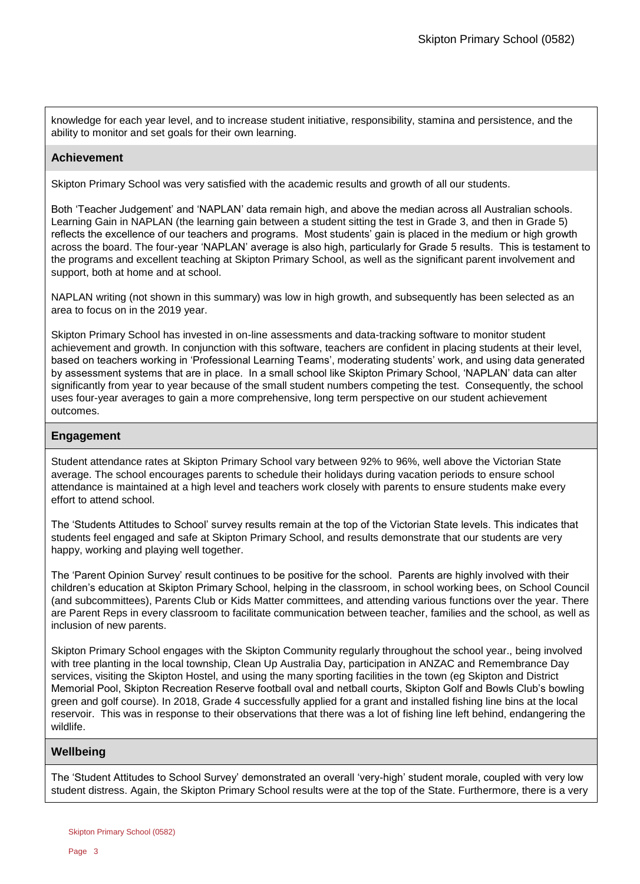knowledge for each year level, and to increase student initiative, responsibility, stamina and persistence, and the ability to monitor and set goals for their own learning.

### **Achievement**

Skipton Primary School was very satisfied with the academic results and growth of all our students.

Both 'Teacher Judgement' and 'NAPLAN' data remain high, and above the median across all Australian schools. Learning Gain in NAPLAN (the learning gain between a student sitting the test in Grade 3, and then in Grade 5) reflects the excellence of our teachers and programs. Most students' gain is placed in the medium or high growth across the board. The four-year 'NAPLAN' average is also high, particularly for Grade 5 results. This is testament to the programs and excellent teaching at Skipton Primary School, as well as the significant parent involvement and support, both at home and at school.

NAPLAN writing (not shown in this summary) was low in high growth, and subsequently has been selected as an area to focus on in the 2019 year.

Skipton Primary School has invested in on-line assessments and data-tracking software to monitor student achievement and growth. In conjunction with this software, teachers are confident in placing students at their level, based on teachers working in 'Professional Learning Teams', moderating students' work, and using data generated by assessment systems that are in place. In a small school like Skipton Primary School, 'NAPLAN' data can alter significantly from year to year because of the small student numbers competing the test. Consequently, the school uses four-year averages to gain a more comprehensive, long term perspective on our student achievement outcomes.

### **Engagement**

Student attendance rates at Skipton Primary School vary between 92% to 96%, well above the Victorian State average. The school encourages parents to schedule their holidays during vacation periods to ensure school attendance is maintained at a high level and teachers work closely with parents to ensure students make every effort to attend school.

The 'Students Attitudes to School' survey results remain at the top of the Victorian State levels. This indicates that students feel engaged and safe at Skipton Primary School, and results demonstrate that our students are very happy, working and playing well together.

The 'Parent Opinion Survey' result continues to be positive for the school. Parents are highly involved with their children's education at Skipton Primary School, helping in the classroom, in school working bees, on School Council (and subcommittees), Parents Club or Kids Matter committees, and attending various functions over the year. There are Parent Reps in every classroom to facilitate communication between teacher, families and the school, as well as inclusion of new parents.

Skipton Primary School engages with the Skipton Community regularly throughout the school year., being involved with tree planting in the local township, Clean Up Australia Day, participation in ANZAC and Remembrance Day services, visiting the Skipton Hostel, and using the many sporting facilities in the town (eg Skipton and District Memorial Pool, Skipton Recreation Reserve football oval and netball courts, Skipton Golf and Bowls Club's bowling green and golf course). In 2018, Grade 4 successfully applied for a grant and installed fishing line bins at the local reservoir. This was in response to their observations that there was a lot of fishing line left behind, endangering the wildlife.

### **Wellbeing**

The 'Student Attitudes to School Survey' demonstrated an overall 'very-high' student morale, coupled with very low student distress. Again, the Skipton Primary School results were at the top of the State. Furthermore, there is a very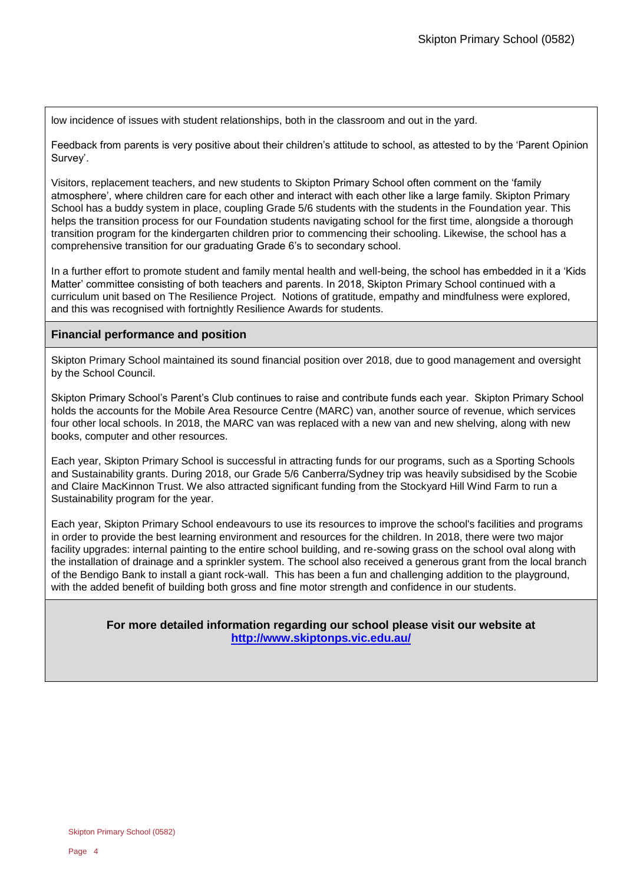low incidence of issues with student relationships, both in the classroom and out in the yard.

Feedback from parents is very positive about their children's attitude to school, as attested to by the 'Parent Opinion Survey'.

Visitors, replacement teachers, and new students to Skipton Primary School often comment on the 'family atmosphere', where children care for each other and interact with each other like a large family. Skipton Primary School has a buddy system in place, coupling Grade 5/6 students with the students in the Foundation year. This helps the transition process for our Foundation students navigating school for the first time, alongside a thorough transition program for the kindergarten children prior to commencing their schooling. Likewise, the school has a comprehensive transition for our graduating Grade 6's to secondary school.

In a further effort to promote student and family mental health and well-being, the school has embedded in it a 'Kids Matter' committee consisting of both teachers and parents. In 2018, Skipton Primary School continued with a curriculum unit based on The Resilience Project. Notions of gratitude, empathy and mindfulness were explored, and this was recognised with fortnightly Resilience Awards for students.

### **Financial performance and position**

Skipton Primary School maintained its sound financial position over 2018, due to good management and oversight by the School Council.

Skipton Primary School's Parent's Club continues to raise and contribute funds each year. Skipton Primary School holds the accounts for the Mobile Area Resource Centre (MARC) van, another source of revenue, which services four other local schools. In 2018, the MARC van was replaced with a new van and new shelving, along with new books, computer and other resources.

Each year, Skipton Primary School is successful in attracting funds for our programs, such as a Sporting Schools and Sustainability grants. During 2018, our Grade 5/6 Canberra/Sydney trip was heavily subsidised by the Scobie and Claire MacKinnon Trust. We also attracted significant funding from the Stockyard Hill Wind Farm to run a Sustainability program for the year.

Each year, Skipton Primary School endeavours to use its resources to improve the school's facilities and programs in order to provide the best learning environment and resources for the children. In 2018, there were two major facility upgrades: internal painting to the entire school building, and re-sowing grass on the school oval along with the installation of drainage and a sprinkler system. The school also received a generous grant from the local branch of the Bendigo Bank to install a giant rock-wall. This has been a fun and challenging addition to the playground, with the added benefit of building both gross and fine motor strength and confidence in our students.

> **For more detailed information regarding our school please visit our website at <http://www.skiptonps.vic.edu.au/>**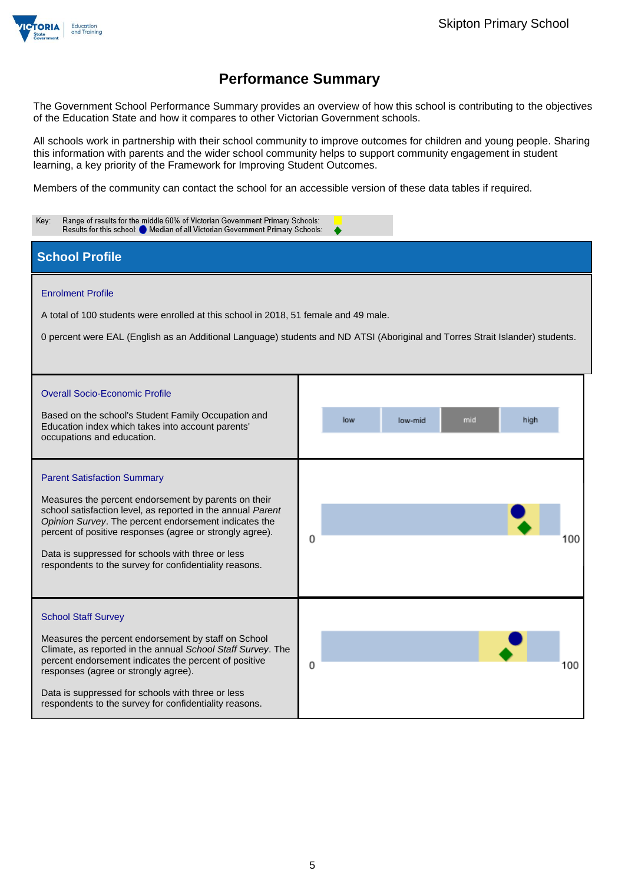

The Government School Performance Summary provides an overview of how this school is contributing to the objectives of the Education State and how it compares to other Victorian Government schools.

All schools work in partnership with their school community to improve outcomes for children and young people. Sharing this information with parents and the wider school community helps to support community engagement in student learning, a key priority of the Framework for Improving Student Outcomes.

Members of the community can contact the school for an accessible version of these data tables if required.

| Range of results for the middle 60% of Victorian Government Primary Schools:<br>Key:<br>Results for this school: O Median of all Victorian Government Primary Schools:                                                                                                                                                                                                                        |                               |  |  |  |  |  |
|-----------------------------------------------------------------------------------------------------------------------------------------------------------------------------------------------------------------------------------------------------------------------------------------------------------------------------------------------------------------------------------------------|-------------------------------|--|--|--|--|--|
| <b>School Profile</b>                                                                                                                                                                                                                                                                                                                                                                         |                               |  |  |  |  |  |
| <b>Enrolment Profile</b><br>A total of 100 students were enrolled at this school in 2018, 51 female and 49 male.<br>0 percent were EAL (English as an Additional Language) students and ND ATSI (Aboriginal and Torres Strait Islander) students.                                                                                                                                             |                               |  |  |  |  |  |
| <b>Overall Socio-Economic Profile</b><br>Based on the school's Student Family Occupation and<br>Education index which takes into account parents'<br>occupations and education.                                                                                                                                                                                                               | low<br>mid<br>high<br>low-mid |  |  |  |  |  |
| <b>Parent Satisfaction Summary</b><br>Measures the percent endorsement by parents on their<br>school satisfaction level, as reported in the annual Parent<br>Opinion Survey. The percent endorsement indicates the<br>percent of positive responses (agree or strongly agree).<br>Data is suppressed for schools with three or less<br>respondents to the survey for confidentiality reasons. | 0<br>100                      |  |  |  |  |  |
| <b>School Staff Survey</b><br>Measures the percent endorsement by staff on School<br>Climate, as reported in the annual School Staff Survey. The<br>percent endorsement indicates the percent of positive<br>responses (agree or strongly agree).<br>Data is suppressed for schools with three or less<br>respondents to the survey for confidentiality reasons.                              | 0<br>100                      |  |  |  |  |  |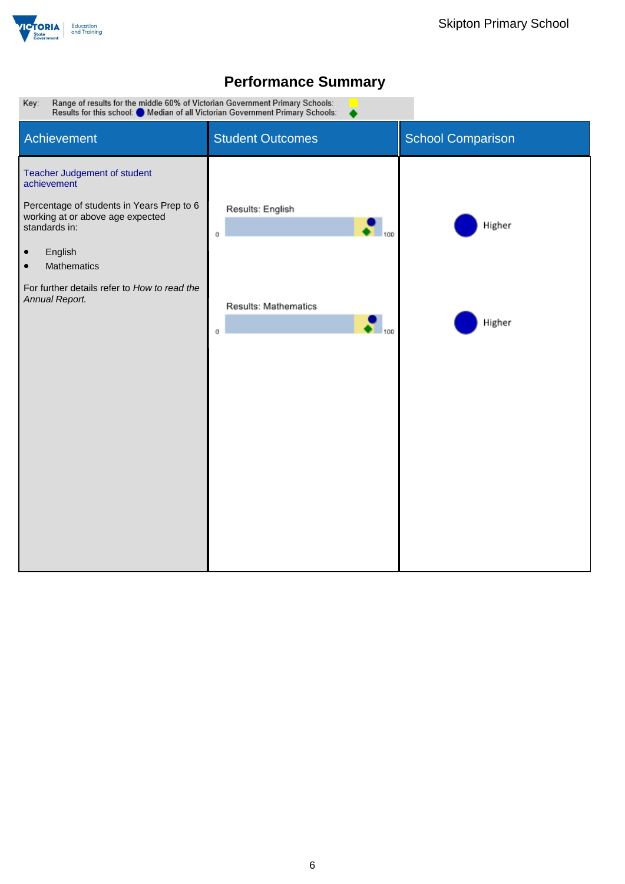

# Range of results for the middle 60% of Victorian Government Primary Schools:<br>Results for this school: O Median of all Victorian Government Primary Schools: Key: Student Outcomes Student Outcomes Achievement Teacher Judgement of student achievement Percentage of students in Years Prep to 6 Results: English working at or above age expected Higher standards in:  $100$  $\mathfrak o$ • English **•** Mathematics For further details refer to *How to read the Annual Report.* **Results: Mathematics** Higher 100  $\,0\,$

## **Performance Summary**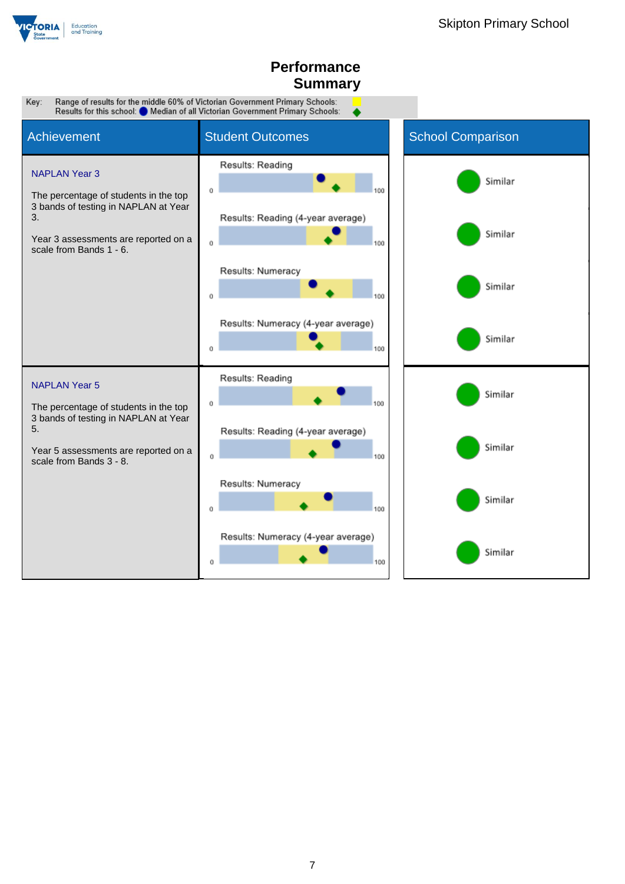

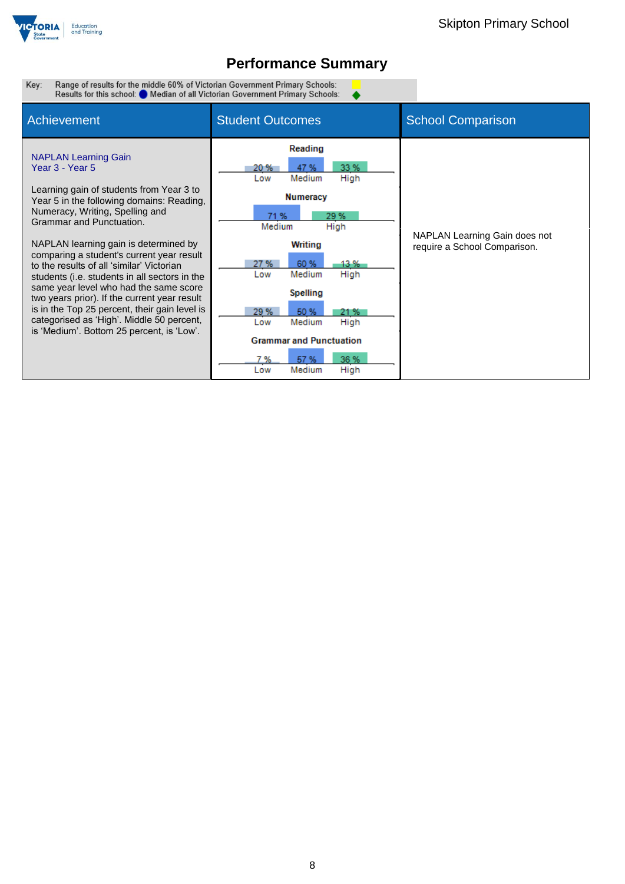

 $\bullet$ 

Range of results for the middle 60% of Victorian Government Primary Schools:<br>Results for this school: O Median of all Victorian Government Primary Schools: Key:

| <b>Achievement</b>                                                                                                                                                                                                                                                                                                                                                                                                                                                                                                                                                                                                              | <b>Student Outcomes</b>                                                                                                                                                                                                                                                                                              | <b>School Comparison</b>                                      |
|---------------------------------------------------------------------------------------------------------------------------------------------------------------------------------------------------------------------------------------------------------------------------------------------------------------------------------------------------------------------------------------------------------------------------------------------------------------------------------------------------------------------------------------------------------------------------------------------------------------------------------|----------------------------------------------------------------------------------------------------------------------------------------------------------------------------------------------------------------------------------------------------------------------------------------------------------------------|---------------------------------------------------------------|
| <b>NAPLAN Learning Gain</b><br>Year 3 - Year 5<br>Learning gain of students from Year 3 to<br>Year 5 in the following domains: Reading,<br>Numeracy, Writing, Spelling and<br>Grammar and Punctuation.<br>NAPLAN learning gain is determined by<br>comparing a student's current year result<br>to the results of all 'similar' Victorian<br>students (i.e. students in all sectors in the<br>same year level who had the same score<br>two years prior). If the current year result<br>is in the Top 25 percent, their gain level is<br>categorised as 'High'. Middle 50 percent,<br>is 'Medium'. Bottom 25 percent, is 'Low'. | Reading<br>33 %<br>47%<br>20%<br>Medium<br>High<br>Low<br><b>Numeracy</b><br>29%<br>71 %<br>Medium<br>High<br>Writing<br>27%<br>60 %<br>13 %<br>Medium<br>High<br>Low<br>Spelling<br>29 %<br>50 %<br>21 %<br>Medium<br>High<br>Low<br><b>Grammar and Punctuation</b><br>36 %<br>57 %<br>7 %<br>Medium<br>High<br>Low | NAPLAN Learning Gain does not<br>require a School Comparison. |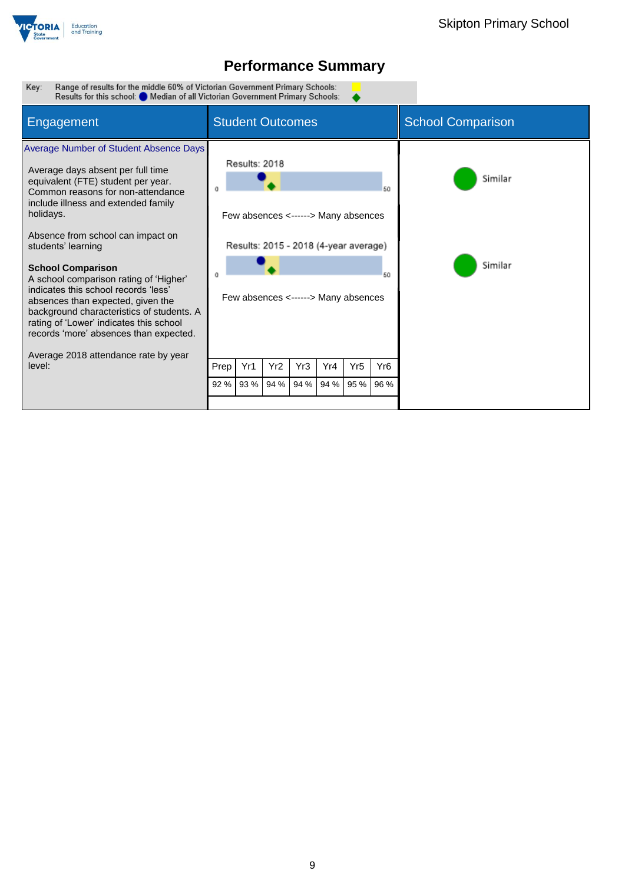

Range of results for the middle 60% of Victorian Government Primary Schools:<br>Results for this school: O Median of all Victorian Government Primary Schools: Key:

| Engagement                                                                                                                                                                                                                                                                                                                                                                                                                                                                                                                                                                                         | <b>Student Outcomes</b> |                                                                                                                                      |                 |      |      |                 | <b>School Comparison</b> |                    |
|----------------------------------------------------------------------------------------------------------------------------------------------------------------------------------------------------------------------------------------------------------------------------------------------------------------------------------------------------------------------------------------------------------------------------------------------------------------------------------------------------------------------------------------------------------------------------------------------------|-------------------------|--------------------------------------------------------------------------------------------------------------------------------------|-----------------|------|------|-----------------|--------------------------|--------------------|
| Average Number of Student Absence Days<br>Average days absent per full time<br>equivalent (FTE) student per year.<br>Common reasons for non-attendance<br>include illness and extended family<br>holidays.<br>Absence from school can impact on<br>students' learning<br><b>School Comparison</b><br>A school comparison rating of 'Higher'<br>indicates this school records 'less'<br>absences than expected, given the<br>background characteristics of students. A<br>rating of 'Lower' indicates this school<br>records 'more' absences than expected.<br>Average 2018 attendance rate by year |                         | Results: 2018<br>Few absences <------> Many absences<br>Results: 2015 - 2018 (4-year average)<br>Few absences <------> Many absences |                 |      |      |                 | 50<br>60                 | Similar<br>Similar |
| level:                                                                                                                                                                                                                                                                                                                                                                                                                                                                                                                                                                                             | Prep                    | Yr1                                                                                                                                  | Yr <sub>2</sub> | Yr3  | Yr4  | Yr <sub>5</sub> | Yr <sub>6</sub>          |                    |
|                                                                                                                                                                                                                                                                                                                                                                                                                                                                                                                                                                                                    | 92 %                    | 93 %                                                                                                                                 | 94 %            | 94 % | 94 % | 95 %            | 96 %                     |                    |
|                                                                                                                                                                                                                                                                                                                                                                                                                                                                                                                                                                                                    |                         |                                                                                                                                      |                 |      |      |                 |                          |                    |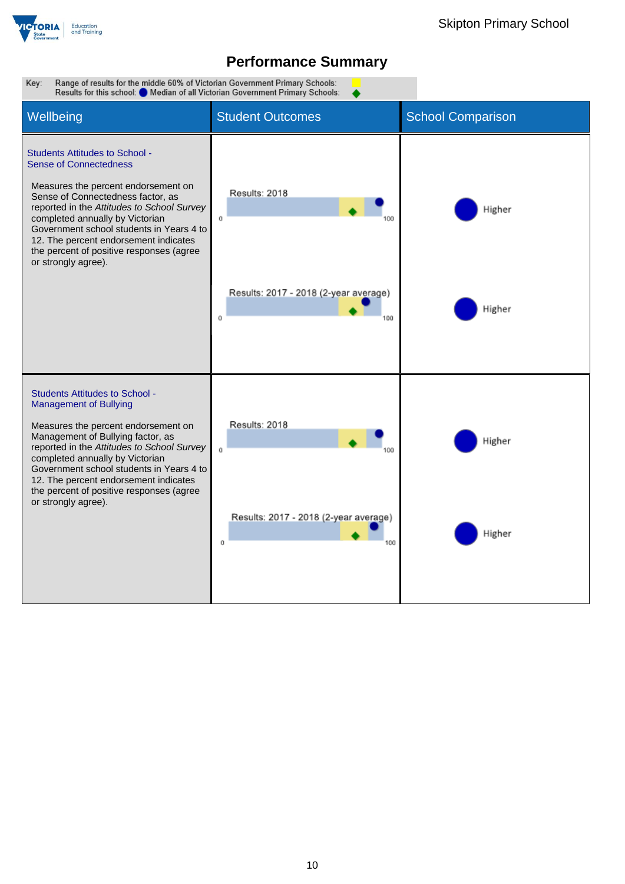

Key: Range of results for the middle 60% of Victorian Government Primary Schools: Results for this school: Median of all Victorian Government Primary Schools: Wellbeing **Student Outcomes** School Comparison Students Attitudes to School - Sense of Connectedness Measures the percent endorsement on Results: 2018 Sense of Connectedness factor, as reported in the *Attitudes to School Survey* Higher completed annually by Victorian  $\ddot{\rm{o}}$ 100 Government school students in Years 4 to 12. The percent endorsement indicates the percent of positive responses (agree or strongly agree). Results: 2017 - 2018 (2-year average) Higher  $\mathbf 0$ 100 Students Attitudes to School - Management of Bullying Results: 2018 Measures the percent endorsement on Management of Bullying factor, as Higher reported in the *Attitudes to School Survey*  $\alpha$ too completed annually by Victorian Government school students in Years 4 to 12. The percent endorsement indicates the percent of positive responses (agree or strongly agree).Results: 2017 - 2018 (2-year average) Higher  $\alpha$ 100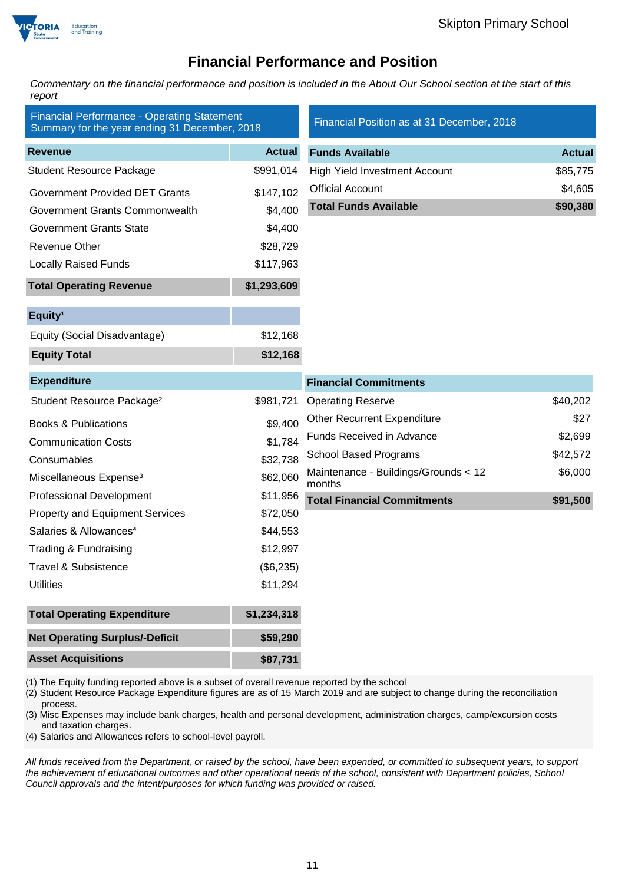

### **Financial Performance and Position**

*Commentary on the financial performance and position is included in the About Our School section at the start of this report*

| <b>Financial Performance - Operating Statement</b><br>Summary for the year ending 31 December, 2018 |               | Financial Position as at 31 December, 2018     |               |  |  |
|-----------------------------------------------------------------------------------------------------|---------------|------------------------------------------------|---------------|--|--|
| <b>Revenue</b>                                                                                      | <b>Actual</b> | <b>Funds Available</b>                         | <b>Actual</b> |  |  |
| <b>Student Resource Package</b>                                                                     | \$991,014     | <b>High Yield Investment Account</b>           | \$85,775      |  |  |
| <b>Government Provided DET Grants</b>                                                               | \$147,102     | <b>Official Account</b>                        | \$4,605       |  |  |
| Government Grants Commonwealth                                                                      | \$4,400       | <b>Total Funds Available</b>                   | \$90,380      |  |  |
| <b>Government Grants State</b>                                                                      | \$4,400       |                                                |               |  |  |
| <b>Revenue Other</b>                                                                                | \$28,729      |                                                |               |  |  |
| <b>Locally Raised Funds</b>                                                                         | \$117,963     |                                                |               |  |  |
| <b>Total Operating Revenue</b>                                                                      | \$1,293,609   |                                                |               |  |  |
| Equity <sup>1</sup>                                                                                 |               |                                                |               |  |  |
| Equity (Social Disadvantage)                                                                        | \$12,168      |                                                |               |  |  |
| <b>Equity Total</b>                                                                                 | \$12,168      |                                                |               |  |  |
| <b>Expenditure</b>                                                                                  |               | <b>Financial Commitments</b>                   |               |  |  |
| Student Resource Package <sup>2</sup>                                                               | \$981,721     | <b>Operating Reserve</b>                       | \$40,202      |  |  |
| <b>Books &amp; Publications</b>                                                                     | \$9,400       | <b>Other Recurrent Expenditure</b>             | \$27          |  |  |
| <b>Communication Costs</b>                                                                          | \$1,784       | Funds Received in Advance                      | \$2,699       |  |  |
| Consumables                                                                                         | \$32,738      | <b>School Based Programs</b>                   | \$42,572      |  |  |
| Miscellaneous Expense <sup>3</sup>                                                                  | \$62,060      | Maintenance - Buildings/Grounds < 12<br>months | \$6,000       |  |  |
| <b>Professional Development</b>                                                                     | \$11,956      | <b>Total Financial Commitments</b>             | \$91,500      |  |  |
| <b>Property and Equipment Services</b>                                                              | \$72,050      |                                                |               |  |  |
| Salaries & Allowances <sup>4</sup>                                                                  | \$44,553      |                                                |               |  |  |
| Trading & Fundraising                                                                               | \$12,997      |                                                |               |  |  |
| <b>Travel &amp; Subsistence</b>                                                                     | (\$6,235)     |                                                |               |  |  |
| <b>Utilities</b>                                                                                    | \$11,294      |                                                |               |  |  |
| <b>Total Operating Expenditure</b>                                                                  | \$1,234,318   |                                                |               |  |  |
| <b>Net Operating Surplus/-Deficit</b>                                                               | \$59,290      |                                                |               |  |  |
| <b>Asset Acquisitions</b>                                                                           | \$87,731      |                                                |               |  |  |

(1) The Equity funding reported above is a subset of overall revenue reported by the school

(2) Student Resource Package Expenditure figures are as of 15 March 2019 and are subject to change during the reconciliation process.

(3) Misc Expenses may include bank charges, health and personal development, administration charges, camp/excursion costs and taxation charges.

(4) Salaries and Allowances refers to school-level payroll.

*All funds received from the Department, or raised by the school, have been expended, or committed to subsequent years, to support the achievement of educational outcomes and other operational needs of the school, consistent with Department policies, School Council approvals and the intent/purposes for which funding was provided or raised.*